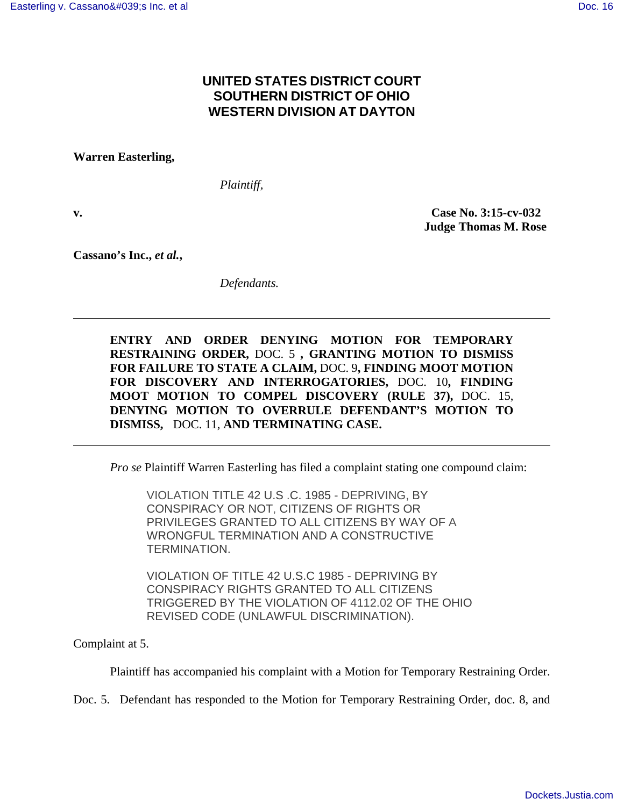# **UNITED STATES DISTRICT COURT SOUTHERN DISTRICT OF OHIO WESTERN DIVISION AT DAYTON**

**Warren Easterling,** 

*Plaintiff,* 

**v. Case No. 3:15-cv-032 Judge Thomas M. Rose** 

**Cassano's Inc.,** *et al.***,** 

*Defendants.* 

**ENTRY AND ORDER DENYING MOTION FOR TEMPORARY RESTRAINING ORDER,** DOC. 5 **, GRANTING MOTION TO DISMISS FOR FAILURE TO STATE A CLAIM,** DOC. 9**, FINDING MOOT MOTION FOR DISCOVERY AND INTERROGATORIES,** DOC. 10**, FINDING MOOT MOTION TO COMPEL DISCOVERY (RULE 37),** DOC. 15, **DENYING MOTION TO OVERRULE DEFENDANT'S MOTION TO DISMISS,** DOC. 11, **AND TERMINATING CASE.** 

*Pro se* Plaintiff Warren Easterling has filed a complaint stating one compound claim:

VIOLATION TITLE 42 U.S .C. 1985 - DEPRIVING, BY CONSPIRACY OR NOT, CITIZENS OF RIGHTS OR PRIVILEGES GRANTED TO ALL CITIZENS BY WAY OF A WRONGFUL TERMINATION AND A CONSTRUCTIVE TERMINATION.

VIOLATION OF TITLE 42 U.S.C 1985 - DEPRIVING BY CONSPIRACY RIGHTS GRANTED TO ALL CITIZENS TRIGGERED BY THE VIOLATION OF 4112.02 OF THE OHIO REVISED CODE (UNLAWFUL DISCRIMINATION).

Complaint at 5.

Plaintiff has accompanied his complaint with a Motion for Temporary Restraining Order.

Doc. 5. Defendant has responded to the Motion for Temporary Restraining Order, doc. 8, and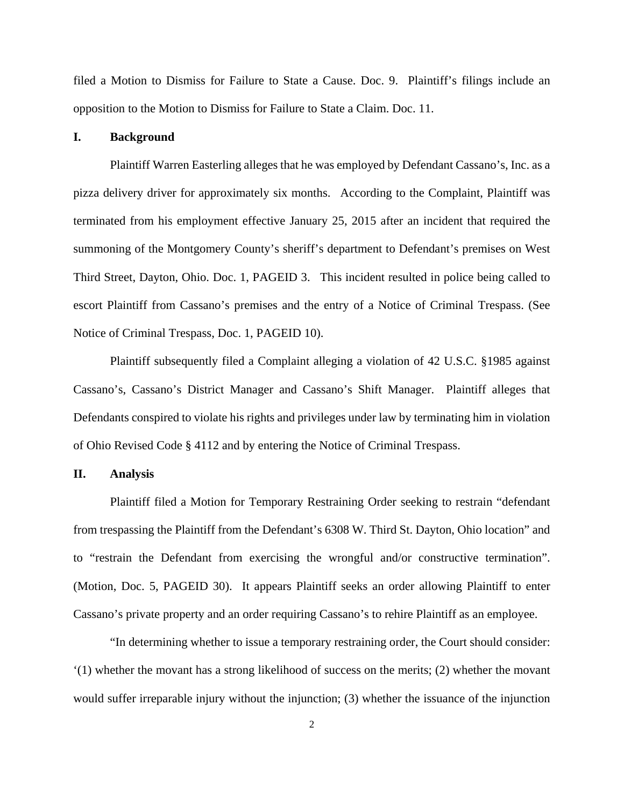filed a Motion to Dismiss for Failure to State a Cause. Doc. 9. Plaintiff's filings include an opposition to the Motion to Dismiss for Failure to State a Claim. Doc. 11.

## **I. Background**

Plaintiff Warren Easterling alleges that he was employed by Defendant Cassano's, Inc. as a pizza delivery driver for approximately six months. According to the Complaint, Plaintiff was terminated from his employment effective January 25, 2015 after an incident that required the summoning of the Montgomery County's sheriff's department to Defendant's premises on West Third Street, Dayton, Ohio. Doc. 1, PAGEID 3. This incident resulted in police being called to escort Plaintiff from Cassano's premises and the entry of a Notice of Criminal Trespass. (See Notice of Criminal Trespass, Doc. 1, PAGEID 10).

Plaintiff subsequently filed a Complaint alleging a violation of 42 U.S.C. §1985 against Cassano's, Cassano's District Manager and Cassano's Shift Manager. Plaintiff alleges that Defendants conspired to violate his rights and privileges under law by terminating him in violation of Ohio Revised Code § 4112 and by entering the Notice of Criminal Trespass.

### **II. Analysis**

Plaintiff filed a Motion for Temporary Restraining Order seeking to restrain "defendant from trespassing the Plaintiff from the Defendant's 6308 W. Third St. Dayton, Ohio location" and to "restrain the Defendant from exercising the wrongful and/or constructive termination". (Motion, Doc. 5, PAGEID 30). It appears Plaintiff seeks an order allowing Plaintiff to enter Cassano's private property and an order requiring Cassano's to rehire Plaintiff as an employee.

"In determining whether to issue a temporary restraining order, the Court should consider: '(1) whether the movant has a strong likelihood of success on the merits; (2) whether the movant would suffer irreparable injury without the injunction; (3) whether the issuance of the injunction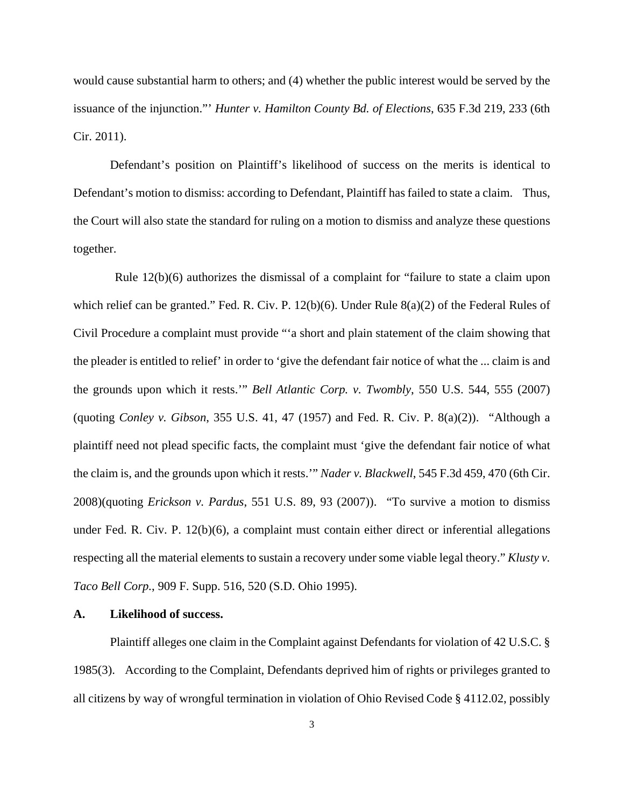would cause substantial harm to others; and (4) whether the public interest would be served by the issuance of the injunction."' *Hunter v. Hamilton County Bd. of Elections*, 635 F.3d 219, 233 (6th Cir. 2011).

Defendant's position on Plaintiff's likelihood of success on the merits is identical to Defendant's motion to dismiss: according to Defendant, Plaintiff has failed to state a claim. Thus, the Court will also state the standard for ruling on a motion to dismiss and analyze these questions together.

 Rule 12(b)(6) authorizes the dismissal of a complaint for "failure to state a claim upon which relief can be granted." Fed. R. Civ. P. 12(b)(6). Under Rule 8(a)(2) of the Federal Rules of Civil Procedure a complaint must provide "'a short and plain statement of the claim showing that the pleader is entitled to relief' in order to 'give the defendant fair notice of what the ... claim is and the grounds upon which it rests.'" *Bell Atlantic Corp. v. Twombly*, 550 U.S. 544, 555 (2007) (quoting *Conley v. Gibson*, 355 U.S. 41, 47 (1957) and Fed. R. Civ. P. 8(a)(2)). "Although a plaintiff need not plead specific facts, the complaint must 'give the defendant fair notice of what the claim is, and the grounds upon which it rests.'" *Nader v. Blackwell*, 545 F.3d 459, 470 (6th Cir. 2008)(quoting *Erickson v. Pardus*, 551 U.S. 89, 93 (2007)). "To survive a motion to dismiss under Fed. R. Civ. P. 12(b)(6), a complaint must contain either direct or inferential allegations respecting all the material elements to sustain a recovery under some viable legal theory." *Klusty v. Taco Bell Corp.*, 909 F. Supp. 516, 520 (S.D. Ohio 1995).

## **A. Likelihood of success.**

Plaintiff alleges one claim in the Complaint against Defendants for violation of 42 U.S.C. § 1985(3). According to the Complaint, Defendants deprived him of rights or privileges granted to all citizens by way of wrongful termination in violation of Ohio Revised Code § 4112.02, possibly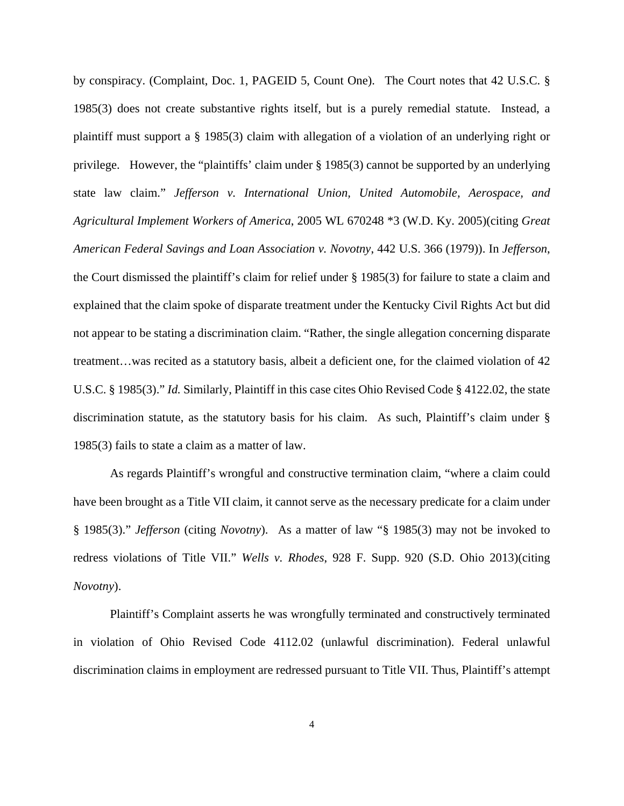by conspiracy. (Complaint, Doc. 1, PAGEID 5, Count One). The Court notes that 42 U.S.C. § 1985(3) does not create substantive rights itself, but is a purely remedial statute. Instead, a plaintiff must support a § 1985(3) claim with allegation of a violation of an underlying right or privilege. However, the "plaintiffs' claim under § 1985(3) cannot be supported by an underlying state law claim." *Jefferson v. International Union, United Automobile, Aerospace, and Agricultural Implement Workers of America*, 2005 WL 670248 \*3 (W.D. Ky. 2005)(citing *Great American Federal Savings and Loan Association v. Novotny*, 442 U.S. 366 (1979)). In *Jefferson*, the Court dismissed the plaintiff's claim for relief under § 1985(3) for failure to state a claim and explained that the claim spoke of disparate treatment under the Kentucky Civil Rights Act but did not appear to be stating a discrimination claim. "Rather, the single allegation concerning disparate treatment…was recited as a statutory basis, albeit a deficient one, for the claimed violation of 42 U.S.C. § 1985(3)." *Id.* Similarly, Plaintiff in this case cites Ohio Revised Code § 4122.02, the state discrimination statute, as the statutory basis for his claim. As such, Plaintiff's claim under § 1985(3) fails to state a claim as a matter of law.

As regards Plaintiff's wrongful and constructive termination claim, "where a claim could have been brought as a Title VII claim, it cannot serve as the necessary predicate for a claim under § 1985(3)." *Jefferson* (citing *Novotny*). As a matter of law "§ 1985(3) may not be invoked to redress violations of Title VII." *Wells v. Rhodes*, 928 F. Supp. 920 (S.D. Ohio 2013)(citing *Novotny*).

Plaintiff's Complaint asserts he was wrongfully terminated and constructively terminated in violation of Ohio Revised Code 4112.02 (unlawful discrimination). Federal unlawful discrimination claims in employment are redressed pursuant to Title VII. Thus, Plaintiff's attempt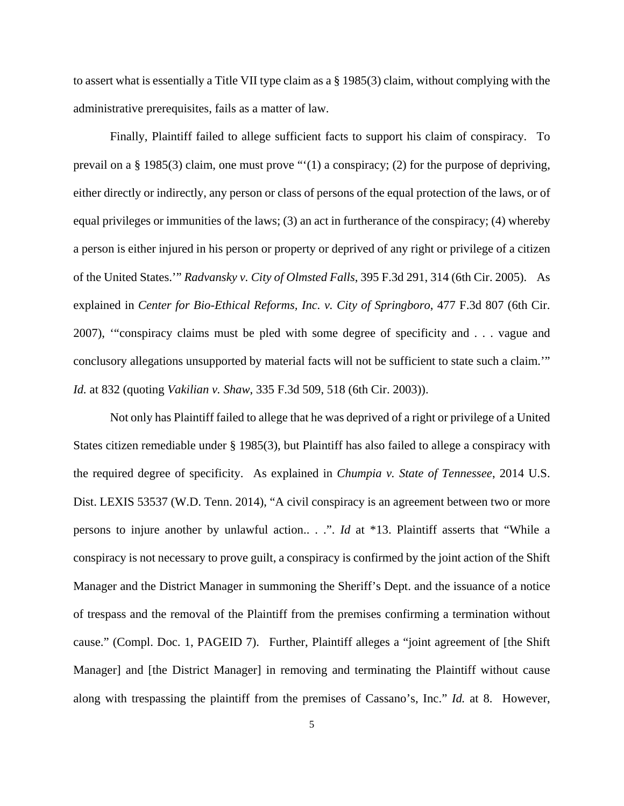to assert what is essentially a Title VII type claim as a § 1985(3) claim, without complying with the administrative prerequisites, fails as a matter of law.

Finally, Plaintiff failed to allege sufficient facts to support his claim of conspiracy. To prevail on a § 1985(3) claim, one must prove "'(1) a conspiracy; (2) for the purpose of depriving, either directly or indirectly, any person or class of persons of the equal protection of the laws, or of equal privileges or immunities of the laws; (3) an act in furtherance of the conspiracy; (4) whereby a person is either injured in his person or property or deprived of any right or privilege of a citizen of the United States.'" *Radvansky v. City of Olmsted Falls*, 395 F.3d 291, 314 (6th Cir. 2005). As explained in *Center for Bio-Ethical Reforms, Inc. v. City of Springboro*, 477 F.3d 807 (6th Cir. 2007), '"conspiracy claims must be pled with some degree of specificity and . . . vague and conclusory allegations unsupported by material facts will not be sufficient to state such a claim.'" *Id.* at 832 (quoting *Vakilian v. Shaw*, 335 F.3d 509, 518 (6th Cir. 2003)).

Not only has Plaintiff failed to allege that he was deprived of a right or privilege of a United States citizen remediable under § 1985(3), but Plaintiff has also failed to allege a conspiracy with the required degree of specificity. As explained in *Chumpia v. State of Tennessee*, 2014 U.S. Dist. LEXIS 53537 (W.D. Tenn. 2014), "A civil conspiracy is an agreement between two or more persons to injure another by unlawful action.. . .". *Id* at \*13. Plaintiff asserts that "While a conspiracy is not necessary to prove guilt, a conspiracy is confirmed by the joint action of the Shift Manager and the District Manager in summoning the Sheriff's Dept. and the issuance of a notice of trespass and the removal of the Plaintiff from the premises confirming a termination without cause." (Compl. Doc. 1, PAGEID 7). Further, Plaintiff alleges a "joint agreement of [the Shift Manager] and [the District Manager] in removing and terminating the Plaintiff without cause along with trespassing the plaintiff from the premises of Cassano's, Inc." *Id.* at 8. However,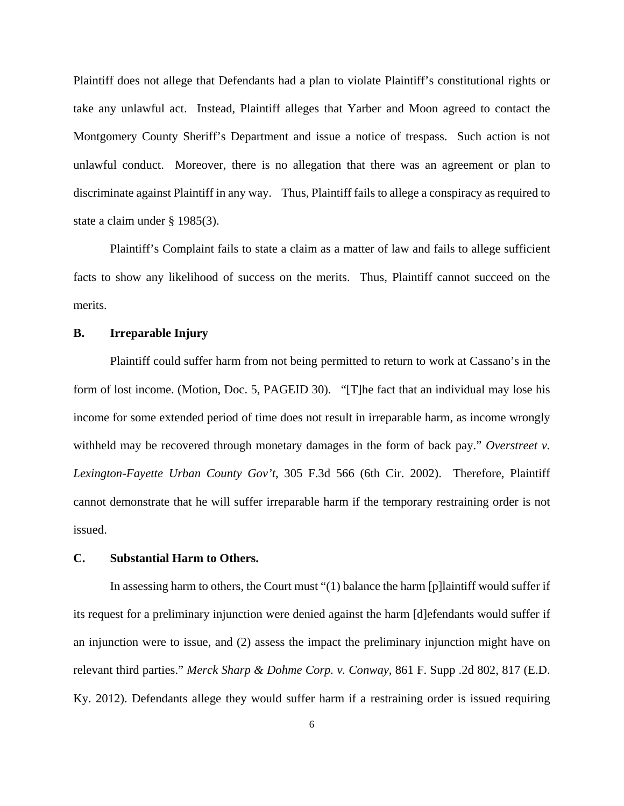Plaintiff does not allege that Defendants had a plan to violate Plaintiff's constitutional rights or take any unlawful act. Instead, Plaintiff alleges that Yarber and Moon agreed to contact the Montgomery County Sheriff's Department and issue a notice of trespass. Such action is not unlawful conduct. Moreover, there is no allegation that there was an agreement or plan to discriminate against Plaintiff in any way. Thus, Plaintiff fails to allege a conspiracy as required to state a claim under § 1985(3).

Plaintiff's Complaint fails to state a claim as a matter of law and fails to allege sufficient facts to show any likelihood of success on the merits. Thus, Plaintiff cannot succeed on the merits.

## **B. Irreparable Injury**

Plaintiff could suffer harm from not being permitted to return to work at Cassano's in the form of lost income. (Motion, Doc. 5, PAGEID 30). "[T]he fact that an individual may lose his income for some extended period of time does not result in irreparable harm, as income wrongly withheld may be recovered through monetary damages in the form of back pay." *Overstreet v. Lexington-Fayette Urban County Gov't*, 305 F.3d 566 (6th Cir. 2002). Therefore, Plaintiff cannot demonstrate that he will suffer irreparable harm if the temporary restraining order is not issued.

#### **C. Substantial Harm to Others.**

In assessing harm to others, the Court must "(1) balance the harm [p]laintiff would suffer if its request for a preliminary injunction were denied against the harm [d]efendants would suffer if an injunction were to issue, and (2) assess the impact the preliminary injunction might have on relevant third parties." *Merck Sharp & Dohme Corp. v. Conway*, 861 F. Supp .2d 802, 817 (E.D. Ky. 2012). Defendants allege they would suffer harm if a restraining order is issued requiring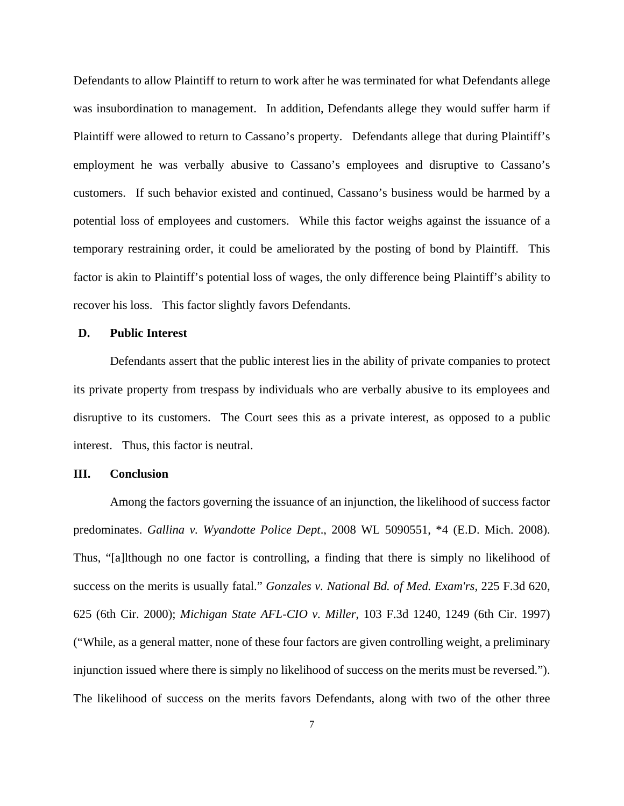Defendants to allow Plaintiff to return to work after he was terminated for what Defendants allege was insubordination to management. In addition, Defendants allege they would suffer harm if Plaintiff were allowed to return to Cassano's property. Defendants allege that during Plaintiff's employment he was verbally abusive to Cassano's employees and disruptive to Cassano's customers. If such behavior existed and continued, Cassano's business would be harmed by a potential loss of employees and customers. While this factor weighs against the issuance of a temporary restraining order, it could be ameliorated by the posting of bond by Plaintiff. This factor is akin to Plaintiff's potential loss of wages, the only difference being Plaintiff's ability to recover his loss. This factor slightly favors Defendants.

#### **D. Public Interest**

Defendants assert that the public interest lies in the ability of private companies to protect its private property from trespass by individuals who are verbally abusive to its employees and disruptive to its customers. The Court sees this as a private interest, as opposed to a public interest. Thus, this factor is neutral.

#### **III. Conclusion**

Among the factors governing the issuance of an injunction, the likelihood of success factor predominates. *Gallina v. Wyandotte Police Dept*., 2008 WL 5090551, \*4 (E.D. Mich. 2008). Thus, "[a]lthough no one factor is controlling, a finding that there is simply no likelihood of success on the merits is usually fatal." *Gonzales v. National Bd. of Med. Exam'rs*, 225 F.3d 620, 625 (6th Cir. 2000); *Michigan State AFL-CIO v. Miller*, 103 F.3d 1240, 1249 (6th Cir. 1997) ("While, as a general matter, none of these four factors are given controlling weight, a preliminary injunction issued where there is simply no likelihood of success on the merits must be reversed."). The likelihood of success on the merits favors Defendants, along with two of the other three